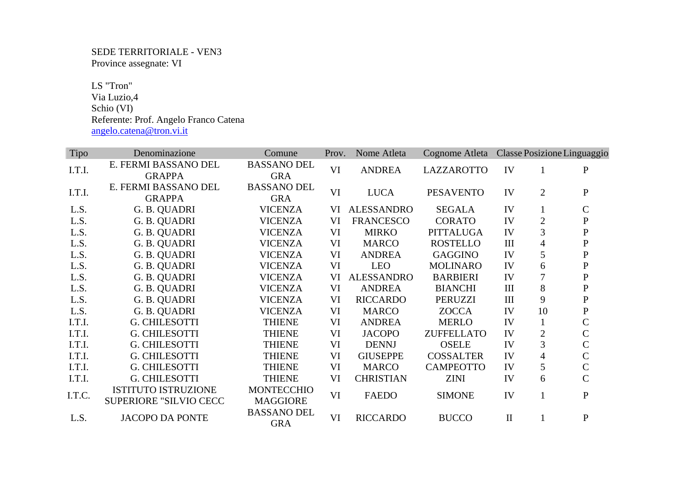SEDE TERRITORIALE - VEN3 Province assegnate: VI

 LS "Tron" Via Luzio,4 Schio (VI) Referente: Prof. Angelo Franco Catena angelo.catena@tron.vi.it

| <b>Tipo</b> | Denominazione              | Comune                    | Prov. | Nome Atleta       | Cognome Atleta Classe Posizione Linguaggio |              |                |                |
|-------------|----------------------------|---------------------------|-------|-------------------|--------------------------------------------|--------------|----------------|----------------|
| I.T.I.      | E. FERMI BASSANO DEL       | <b>BASSANO DEL</b>        | VI    | <b>ANDREA</b>     | <b>LAZZAROTTO</b>                          | IV           | $\mathbf{1}$   | $\mathbf{P}$   |
|             | <b>GRAPPA</b>              | <b>GRA</b>                |       |                   |                                            |              |                |                |
| I.T.I.      | E. FERMI BASSANO DEL       | <b>BASSANO DEL</b>        | VI    | <b>LUCA</b>       | <b>PESAVENTO</b>                           | IV           | $\overline{2}$ | ${\bf P}$      |
|             | <b>GRAPPA</b>              | <b>GRA</b>                |       |                   |                                            |              |                |                |
| L.S.        | G. B. QUADRI               | <b>VICENZA</b>            | VI    | <b>ALESSANDRO</b> | <b>SEGALA</b>                              | IV           |                | $\mathbf C$    |
| L.S.        | G. B. QUADRI               | <b>VICENZA</b>            | VI    | <b>FRANCESCO</b>  | <b>CORATO</b>                              | IV           | $\mathfrak{2}$ | ${\bf P}$      |
| L.S.        | G. B. QUADRI               | <b>VICENZA</b>            | VI    | <b>MIRKO</b>      | PITTALUGA                                  | IV           | 3              | ${\bf P}$      |
| L.S.        | G. B. QUADRI               | <b>VICENZA</b>            | VI    | <b>MARCO</b>      | <b>ROSTELLO</b>                            | $\rm III$    | 4              | ${\bf P}$      |
| L.S.        | G. B. QUADRI               | <b>VICENZA</b>            | VI    | <b>ANDREA</b>     | <b>GAGGINO</b>                             | IV           | 5              | ${\bf P}$      |
| L.S.        | G. B. QUADRI               | <b>VICENZA</b>            | VI    | <b>LEO</b>        | <b>MOLINARO</b>                            | IV           | 6              | ${\bf P}$      |
| L.S.        | G. B. QUADRI               | <b>VICENZA</b>            | VI    | <b>ALESSANDRO</b> | <b>BARBIERI</b>                            | IV           | 7              | ${\bf P}$      |
| L.S.        | G. B. QUADRI               | <b>VICENZA</b>            | VI    | <b>ANDREA</b>     | <b>BIANCHI</b>                             | III          | 8              | ${\bf P}$      |
| L.S.        | G. B. QUADRI               | <b>VICENZA</b>            | VI    | <b>RICCARDO</b>   | PERUZZI                                    | $\rm III$    | 9              | ${\bf P}$      |
| L.S.        | G. B. QUADRI               | <b>VICENZA</b>            | VI    | <b>MARCO</b>      | <b>ZOCCA</b>                               | IV           | 10             | ${\bf P}$      |
| I.T.I.      | G. CHILESOTTI              | <b>THIENE</b>             | VI    | <b>ANDREA</b>     | <b>MERLO</b>                               | IV           | $\mathbf{1}$   | $\mathsf{C}$   |
| I.T.I.      | <b>G. CHILESOTTI</b>       | <b>THIENE</b>             | VI    | <b>JACOPO</b>     | <b>ZUFFELLATO</b>                          | IV           | $\overline{2}$ | $\mathsf{C}$   |
| I.T.I.      | <b>G. CHILESOTTI</b>       | <b>THIENE</b>             | VI    | <b>DENNJ</b>      | <b>OSELE</b>                               | IV           | 3              | $\mathsf{C}$   |
| I.T.I.      | <b>G. CHILESOTTI</b>       | <b>THIENE</b>             | VI    | <b>GIUSEPPE</b>   | <b>COSSALTER</b>                           | IV           | 4              | $\mathsf{C}$   |
| I.T.I.      | <b>G. CHILESOTTI</b>       | <b>THIENE</b>             | VI    | <b>MARCO</b>      | <b>CAMPEOTTO</b>                           | IV           | 5              | $\overline{C}$ |
| I.T.I.      | <b>G. CHILESOTTI</b>       | <b>THIENE</b>             | VI    | <b>CHRISTIAN</b>  | <b>ZINI</b>                                | IV           | 6              | $\overline{C}$ |
| I.T.C.      | <b>ISTITUTO ISTRUZIONE</b> | <b>MONTECCHIO</b>         | VI    | <b>FAEDO</b>      | <b>SIMONE</b>                              | IV           | $\mathbf{1}$   | $\mathbf{P}$   |
|             | SUPERIORE "SILVIO CECC     | <b>MAGGIORE</b>           |       |                   |                                            |              |                |                |
| L.S.        | <b>JACOPO DA PONTE</b>     | <b>BASSANO DEL</b><br>GRA | VI    | <b>RICCARDO</b>   | <b>BUCCO</b>                               | $\mathbf{I}$ |                | ${\bf P}$      |